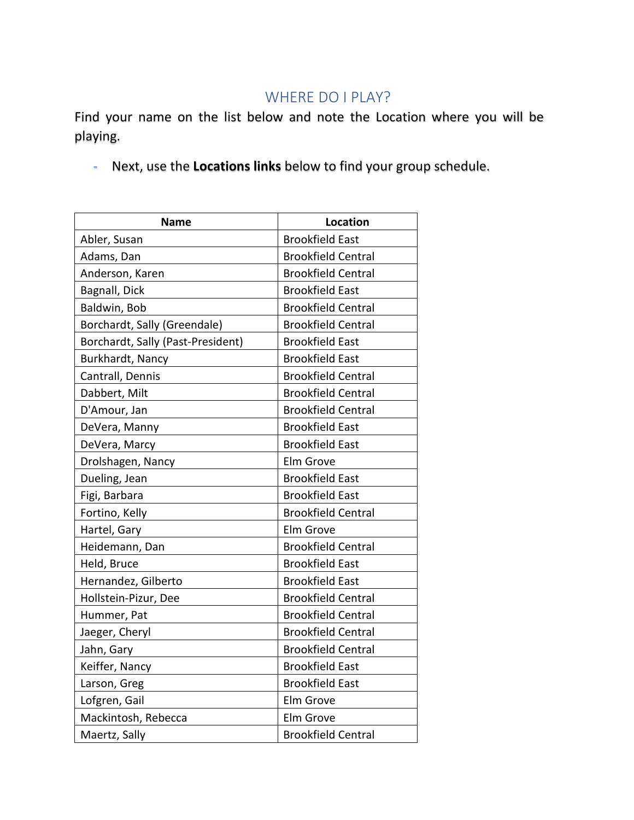## WHERE DO I PLAY?

Find your name on the list below and note the Location where you will be playing.

- Next, use the **Locations links** below to find your group schedule.

| <b>Name</b>                       | <b>Location</b>           |
|-----------------------------------|---------------------------|
| Abler, Susan                      | <b>Brookfield East</b>    |
| Adams, Dan                        | <b>Brookfield Central</b> |
| Anderson, Karen                   | <b>Brookfield Central</b> |
| Bagnall, Dick                     | <b>Brookfield East</b>    |
| Baldwin, Bob                      | <b>Brookfield Central</b> |
| Borchardt, Sally (Greendale)      | <b>Brookfield Central</b> |
| Borchardt, Sally (Past-President) | <b>Brookfield East</b>    |
| Burkhardt, Nancy                  | <b>Brookfield East</b>    |
| Cantrall, Dennis                  | <b>Brookfield Central</b> |
| Dabbert, Milt                     | <b>Brookfield Central</b> |
| D'Amour, Jan                      | <b>Brookfield Central</b> |
| DeVera, Manny                     | <b>Brookfield East</b>    |
| DeVera, Marcy                     | <b>Brookfield East</b>    |
| Drolshagen, Nancy                 | Elm Grove                 |
| Dueling, Jean                     | <b>Brookfield East</b>    |
| Figi, Barbara                     | <b>Brookfield East</b>    |
| Fortino, Kelly                    | <b>Brookfield Central</b> |
| Hartel, Gary                      | Elm Grove                 |
| Heidemann, Dan                    | <b>Brookfield Central</b> |
| Held, Bruce                       | <b>Brookfield East</b>    |
| Hernandez, Gilberto               | <b>Brookfield East</b>    |
| Hollstein-Pizur, Dee              | <b>Brookfield Central</b> |
| Hummer, Pat                       | <b>Brookfield Central</b> |
| Jaeger, Cheryl                    | <b>Brookfield Central</b> |
| Jahn, Gary                        | <b>Brookfield Central</b> |
| Keiffer, Nancy                    | <b>Brookfield East</b>    |
| Larson, Greg                      | <b>Brookfield East</b>    |
| Lofgren, Gail                     | Elm Grove                 |
| Mackintosh, Rebecca               | Elm Grove                 |
| Maertz, Sally                     | <b>Brookfield Central</b> |